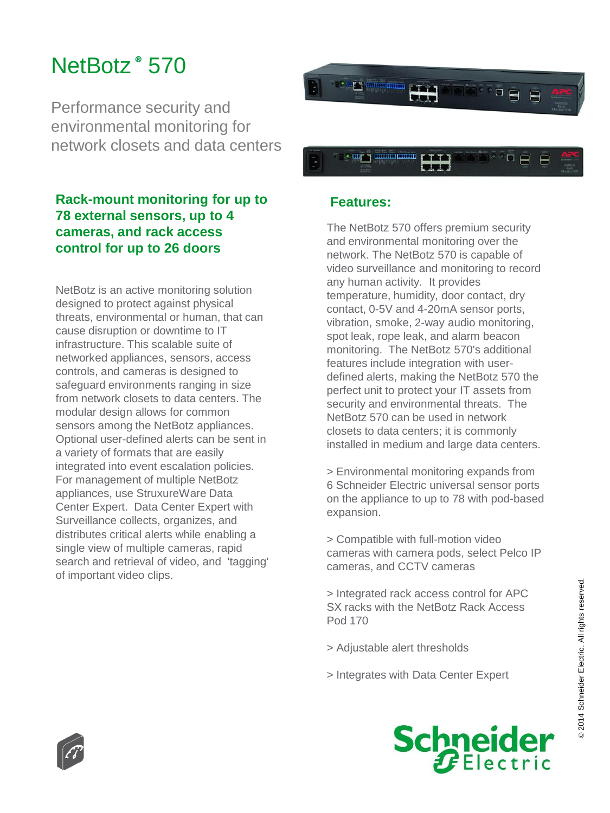## NetBotz **®** 570

Performance security and environmental monitoring for network closets and data centers

## **Rack-mount monitoring for up to 78 external sensors, up to 4 cameras, and rack access control for up to 26 doors**

NetBotz is an active monitoring solution designed to protect against physical threats, environmental or human, that can cause disruption or downtime to IT infrastructure. This scalable suite of networked appliances, sensors, access controls, and cameras is designed to safeguard environments ranging in size from network closets to data centers. The modular design allows for common sensors among the NetBotz appliances. Optional user-defined alerts can be sent in a variety of formats that are easily integrated into event escalation policies. For management of multiple NetBotz appliances, use StruxureWare Data Center Expert. Data Center Expert with Surveillance collects, organizes, and distributes critical alerts while enabling a single view of multiple cameras, rapid search and retrieval of video, and 'tagging' of important video clips.



## **Features:**

The NetBotz 570 offers premium security and environmental monitoring over the network. The NetBotz 570 is capable of video surveillance and monitoring to record any human activity. It provides temperature, humidity, door contact, dry contact, 0-5V and 4-20mA sensor ports, vibration, smoke, 2-way audio monitoring, spot leak, rope leak, and alarm beacon monitoring. The NetBotz 570's additional features include integration with userdefined alerts, making the NetBotz 570 the perfect unit to protect your IT assets from security and environmental threats. The NetBotz 570 can be used in network closets to data centers; it is commonly installed in medium and large data centers.

> Environmental monitoring expands from 6 Schneider Electric universal sensor ports on the appliance to up to 78 with pod-based expansion.

> Compatible with full-motion video cameras with camera pods, select Pelco IP cameras, and CCTV cameras

> Integrated rack access control for APC SX racks with the NetBotz Rack Access Pod 170

- > Adjustable alert thresholds
- > Integrates with Data Center Expert